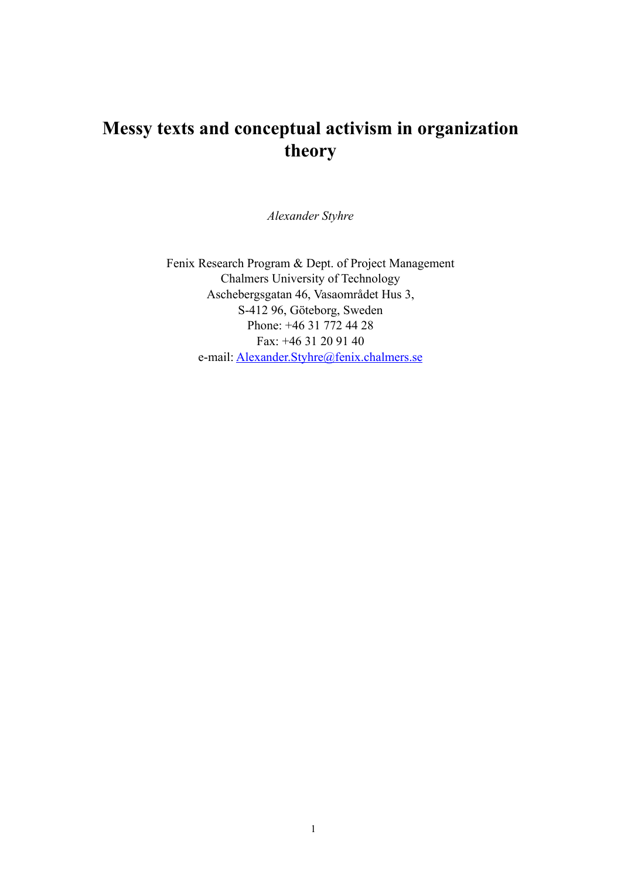# **Messy texts and conceptual activism in organization theory**

*Alexander Styhre*

Fenix Research Program & Dept. of Project Management Chalmers University of Technology Aschebergsgatan 46, Vasaområdet Hus 3, S-412 96, Göteborg, Sweden Phone: +46 31 772 44 28 Fax: +46 31 20 91 40 e-mail: [Alexander.Styhre@fenix.chalmers.se](mailto:Alexander.Styhre@fenix.chalmers.se)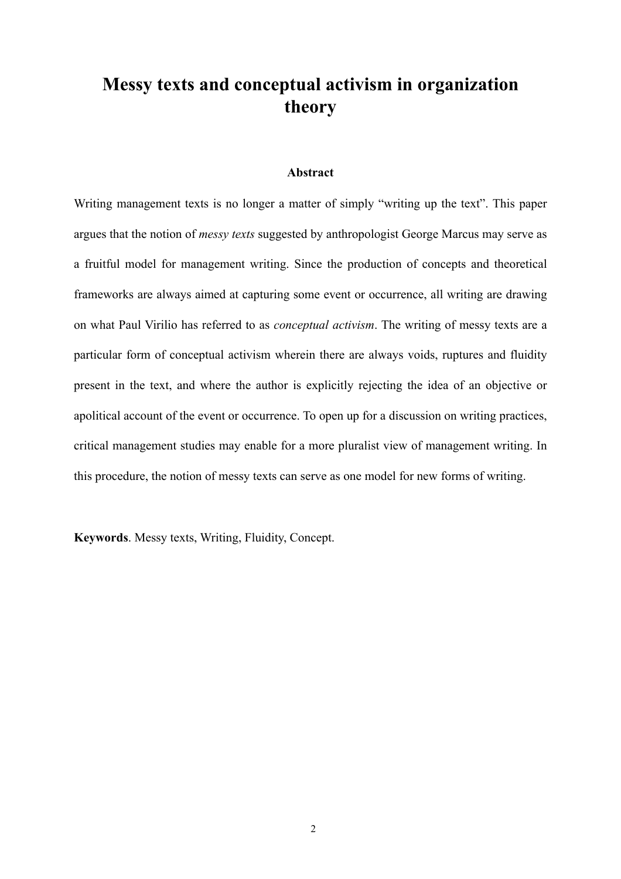# **Messy texts and conceptual activism in organization theory**

## **Abstract**

Writing management texts is no longer a matter of simply "writing up the text". This paper argues that the notion of *messy texts* suggested by anthropologist George Marcus may serve as a fruitful model for management writing. Since the production of concepts and theoretical frameworks are always aimed at capturing some event or occurrence, all writing are drawing on what Paul Virilio has referred to as *conceptual activism*. The writing of messy texts are a particular form of conceptual activism wherein there are always voids, ruptures and fluidity present in the text, and where the author is explicitly rejecting the idea of an objective or apolitical account of the event or occurrence. To open up for a discussion on writing practices, critical management studies may enable for a more pluralist view of management writing. In this procedure, the notion of messy texts can serve as one model for new forms of writing.

**Keywords**. Messy texts, Writing, Fluidity, Concept.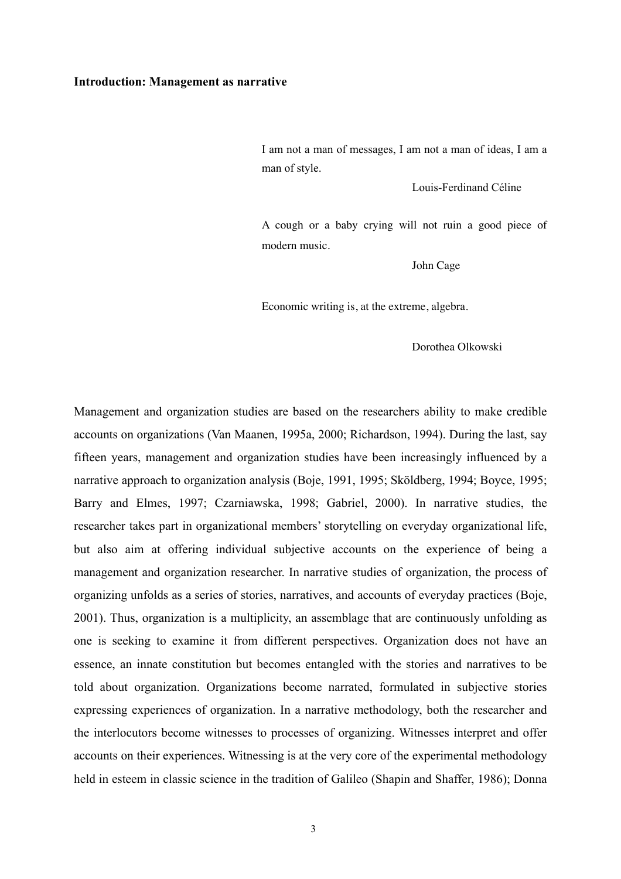#### **Introduction: Management as narrative**

I am not a man of messages, I am not a man of ideas, I am a man of style.

Louis-Ferdinand Céline

A cough or a baby crying will not ruin a good piece of modern music.

John Cage

Economic writing is, at the extreme, algebra.

Dorothea Olkowski

Management and organization studies are based on the researchers ability to make credible accounts on organizations (Van Maanen, 1995a, 2000; Richardson, 1994). During the last, say fifteen years, management and organization studies have been increasingly influenced by a narrative approach to organization analysis (Boje, 1991, 1995; Sköldberg, 1994; Boyce, 1995; Barry and Elmes, 1997; Czarniawska, 1998; Gabriel, 2000). In narrative studies, the researcher takes part in organizational members' storytelling on everyday organizational life, but also aim at offering individual subjective accounts on the experience of being a management and organization researcher. In narrative studies of organization, the process of organizing unfolds as a series of stories, narratives, and accounts of everyday practices (Boje, 2001). Thus, organization is a multiplicity, an assemblage that are continuously unfolding as one is seeking to examine it from different perspectives. Organization does not have an essence, an innate constitution but becomes entangled with the stories and narratives to be told about organization. Organizations become narrated, formulated in subjective stories expressing experiences of organization. In a narrative methodology, both the researcher and the interlocutors become witnesses to processes of organizing. Witnesses interpret and offer accounts on their experiences. Witnessing is at the very core of the experimental methodology held in esteem in classic science in the tradition of Galileo (Shapin and Shaffer, 1986); Donna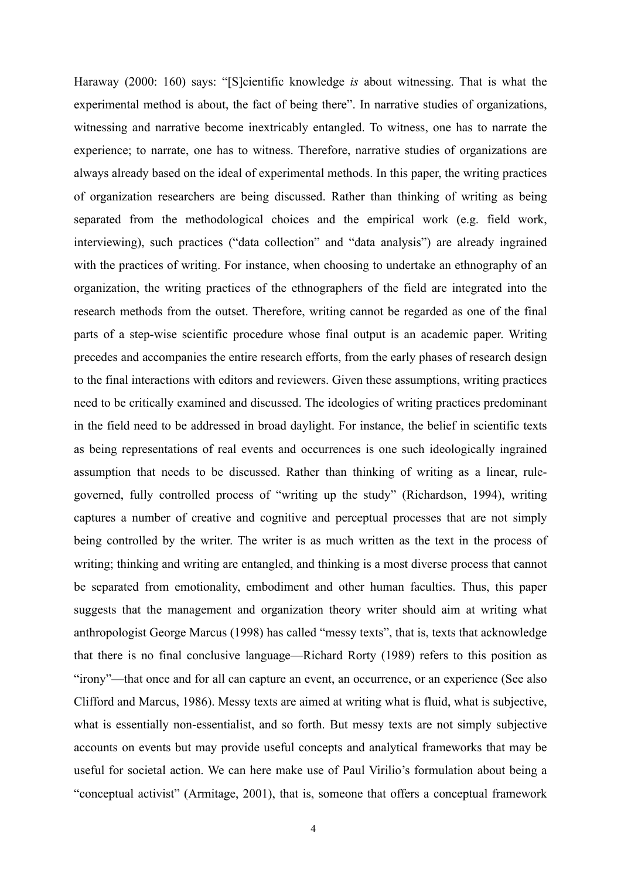Haraway (2000: 160) says: "[S]cientific knowledge *is* about witnessing. That is what the experimental method is about, the fact of being there". In narrative studies of organizations, witnessing and narrative become inextricably entangled. To witness, one has to narrate the experience; to narrate, one has to witness. Therefore, narrative studies of organizations are always already based on the ideal of experimental methods. In this paper, the writing practices of organization researchers are being discussed. Rather than thinking of writing as being separated from the methodological choices and the empirical work (e.g. field work, interviewing), such practices ("data collection" and "data analysis") are already ingrained with the practices of writing. For instance, when choosing to undertake an ethnography of an organization, the writing practices of the ethnographers of the field are integrated into the research methods from the outset. Therefore, writing cannot be regarded as one of the final parts of a step-wise scientific procedure whose final output is an academic paper. Writing precedes and accompanies the entire research efforts, from the early phases of research design to the final interactions with editors and reviewers. Given these assumptions, writing practices need to be critically examined and discussed. The ideologies of writing practices predominant in the field need to be addressed in broad daylight. For instance, the belief in scientific texts as being representations of real events and occurrences is one such ideologically ingrained assumption that needs to be discussed. Rather than thinking of writing as a linear, rulegoverned, fully controlled process of "writing up the study" (Richardson, 1994), writing captures a number of creative and cognitive and perceptual processes that are not simply being controlled by the writer. The writer is as much written as the text in the process of writing; thinking and writing are entangled, and thinking is a most diverse process that cannot be separated from emotionality, embodiment and other human faculties. Thus, this paper suggests that the management and organization theory writer should aim at writing what anthropologist George Marcus (1998) has called "messy texts", that is, texts that acknowledge that there is no final conclusive language—Richard Rorty (1989) refers to this position as "irony"—that once and for all can capture an event, an occurrence, or an experience (See also Clifford and Marcus, 1986). Messy texts are aimed at writing what is fluid, what is subjective, what is essentially non-essentialist, and so forth. But messy texts are not simply subjective accounts on events but may provide useful concepts and analytical frameworks that may be useful for societal action. We can here make use of Paul Virilio's formulation about being a "conceptual activist" (Armitage, 2001), that is, someone that offers a conceptual framework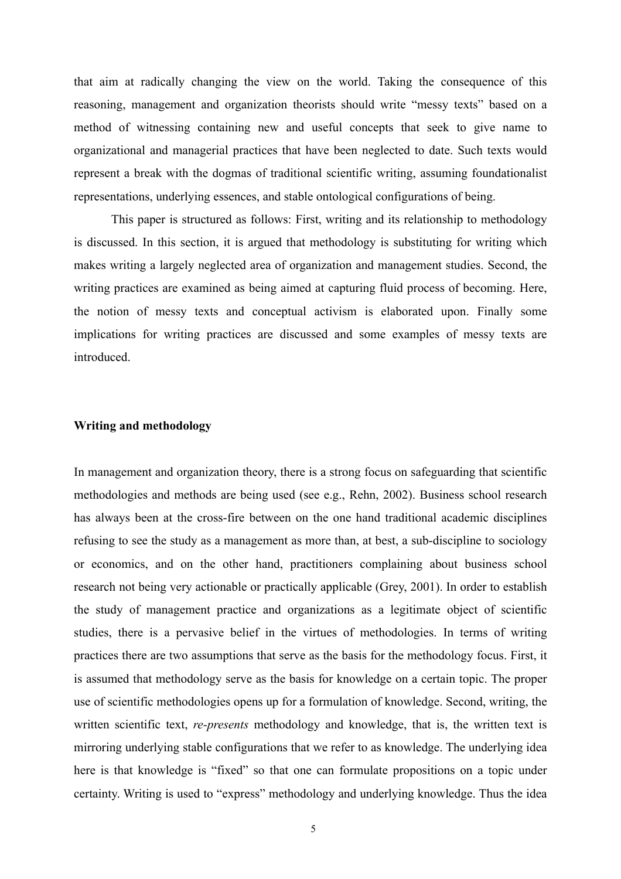that aim at radically changing the view on the world. Taking the consequence of this reasoning, management and organization theorists should write "messy texts" based on a method of witnessing containing new and useful concepts that seek to give name to organizational and managerial practices that have been neglected to date. Such texts would represent a break with the dogmas of traditional scientific writing, assuming foundationalist representations, underlying essences, and stable ontological configurations of being.

 This paper is structured as follows: First, writing and its relationship to methodology is discussed. In this section, it is argued that methodology is substituting for writing which makes writing a largely neglected area of organization and management studies. Second, the writing practices are examined as being aimed at capturing fluid process of becoming. Here, the notion of messy texts and conceptual activism is elaborated upon. Finally some implications for writing practices are discussed and some examples of messy texts are introduced.

# **Writing and methodology**

In management and organization theory, there is a strong focus on safeguarding that scientific methodologies and methods are being used (see e.g., Rehn, 2002). Business school research has always been at the cross-fire between on the one hand traditional academic disciplines refusing to see the study as a management as more than, at best, a sub-discipline to sociology or economics, and on the other hand, practitioners complaining about business school research not being very actionable or practically applicable (Grey, 2001). In order to establish the study of management practice and organizations as a legitimate object of scientific studies, there is a pervasive belief in the virtues of methodologies. In terms of writing practices there are two assumptions that serve as the basis for the methodology focus. First, it is assumed that methodology serve as the basis for knowledge on a certain topic. The proper use of scientific methodologies opens up for a formulation of knowledge. Second, writing, the written scientific text, *re-presents* methodology and knowledge, that is, the written text is mirroring underlying stable configurations that we refer to as knowledge. The underlying idea here is that knowledge is "fixed" so that one can formulate propositions on a topic under certainty. Writing is used to "express" methodology and underlying knowledge. Thus the idea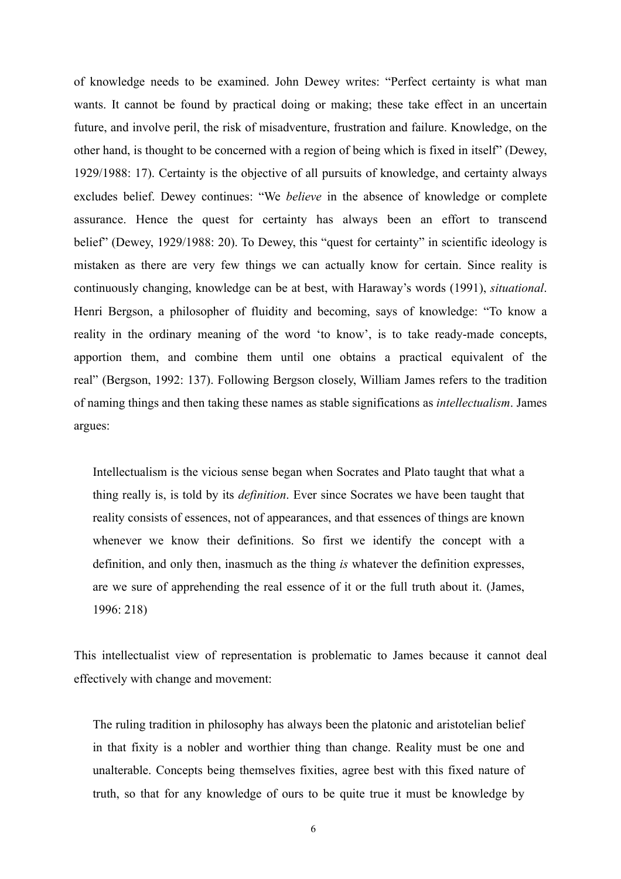of knowledge needs to be examined. John Dewey writes: "Perfect certainty is what man wants. It cannot be found by practical doing or making; these take effect in an uncertain future, and involve peril, the risk of misadventure, frustration and failure. Knowledge, on the other hand, is thought to be concerned with a region of being which is fixed in itself" (Dewey, 1929/1988: 17). Certainty is the objective of all pursuits of knowledge, and certainty always excludes belief. Dewey continues: "We *believe* in the absence of knowledge or complete assurance. Hence the quest for certainty has always been an effort to transcend belief" (Dewey, 1929/1988: 20). To Dewey, this "quest for certainty" in scientific ideology is mistaken as there are very few things we can actually know for certain. Since reality is continuously changing, knowledge can be at best, with Haraway's words (1991), *situational*. Henri Bergson, a philosopher of fluidity and becoming, says of knowledge: "To know a reality in the ordinary meaning of the word 'to know', is to take ready-made concepts, apportion them, and combine them until one obtains a practical equivalent of the real" (Bergson, 1992: 137). Following Bergson closely, William James refers to the tradition of naming things and then taking these names as stable significations as *intellectualism*. James argues:

Intellectualism is the vicious sense began when Socrates and Plato taught that what a thing really is, is told by its *definition*. Ever since Socrates we have been taught that reality consists of essences, not of appearances, and that essences of things are known whenever we know their definitions. So first we identify the concept with a definition, and only then, inasmuch as the thing *is* whatever the definition expresses, are we sure of apprehending the real essence of it or the full truth about it. (James, 1996: 218)

This intellectualist view of representation is problematic to James because it cannot deal effectively with change and movement:

The ruling tradition in philosophy has always been the platonic and aristotelian belief in that fixity is a nobler and worthier thing than change. Reality must be one and unalterable. Concepts being themselves fixities, agree best with this fixed nature of truth, so that for any knowledge of ours to be quite true it must be knowledge by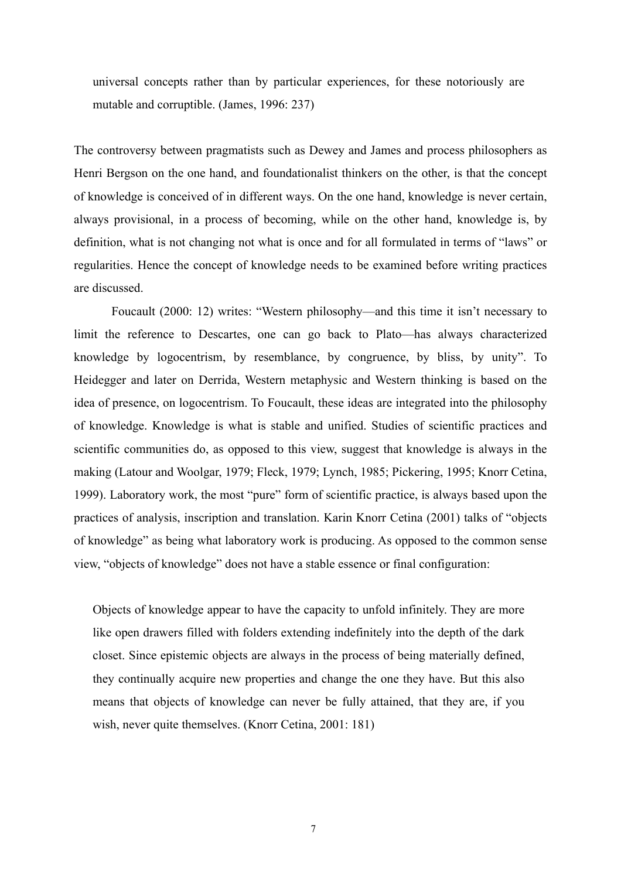universal concepts rather than by particular experiences, for these notoriously are mutable and corruptible. (James, 1996: 237)

The controversy between pragmatists such as Dewey and James and process philosophers as Henri Bergson on the one hand, and foundationalist thinkers on the other, is that the concept of knowledge is conceived of in different ways. On the one hand, knowledge is never certain, always provisional, in a process of becoming, while on the other hand, knowledge is, by definition, what is not changing not what is once and for all formulated in terms of "laws" or regularities. Hence the concept of knowledge needs to be examined before writing practices are discussed.

Foucault (2000: 12) writes: "Western philosophy—and this time it isn't necessary to limit the reference to Descartes, one can go back to Plato—has always characterized knowledge by logocentrism, by resemblance, by congruence, by bliss, by unity". To Heidegger and later on Derrida, Western metaphysic and Western thinking is based on the idea of presence, on logocentrism. To Foucault, these ideas are integrated into the philosophy of knowledge. Knowledge is what is stable and unified. Studies of scientific practices and scientific communities do, as opposed to this view, suggest that knowledge is always in the making (Latour and Woolgar, 1979; Fleck, 1979; Lynch, 1985; Pickering, 1995; Knorr Cetina, 1999). Laboratory work, the most "pure" form of scientific practice, is always based upon the practices of analysis, inscription and translation. Karin Knorr Cetina (2001) talks of "objects of knowledge" as being what laboratory work is producing. As opposed to the common sense view, "objects of knowledge" does not have a stable essence or final configuration:

Objects of knowledge appear to have the capacity to unfold infinitely. They are more like open drawers filled with folders extending indefinitely into the depth of the dark closet. Since epistemic objects are always in the process of being materially defined, they continually acquire new properties and change the one they have. But this also means that objects of knowledge can never be fully attained, that they are, if you wish, never quite themselves. (Knorr Cetina, 2001: 181)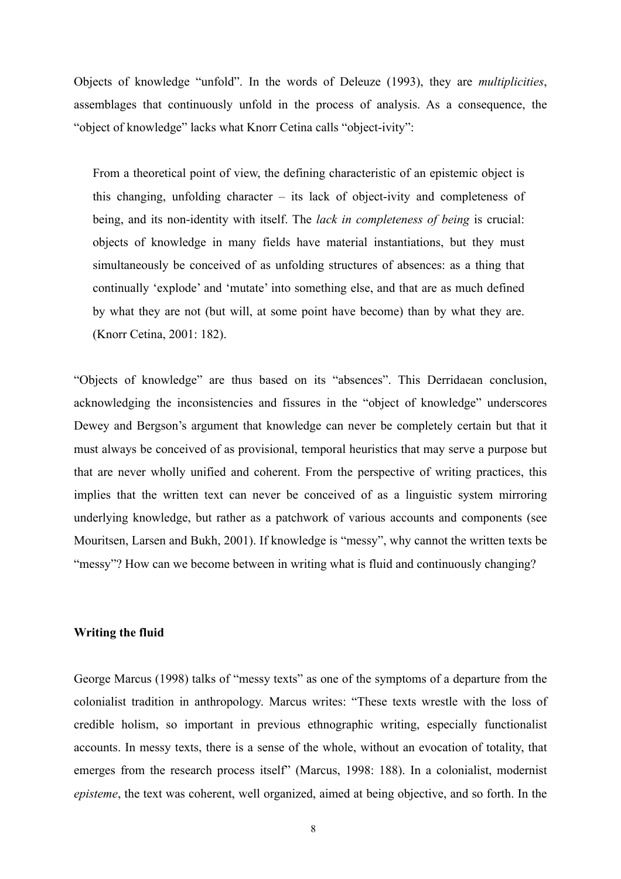Objects of knowledge "unfold". In the words of Deleuze (1993), they are *multiplicities*, assemblages that continuously unfold in the process of analysis. As a consequence, the "object of knowledge" lacks what Knorr Cetina calls "object-ivity":

From a theoretical point of view, the defining characteristic of an epistemic object is this changing, unfolding character – its lack of object-ivity and completeness of being, and its non-identity with itself. The *lack in completeness of being* is crucial: objects of knowledge in many fields have material instantiations, but they must simultaneously be conceived of as unfolding structures of absences: as a thing that continually 'explode' and 'mutate' into something else, and that are as much defined by what they are not (but will, at some point have become) than by what they are. (Knorr Cetina, 2001: 182).

"Objects of knowledge" are thus based on its "absences". This Derridaean conclusion, acknowledging the inconsistencies and fissures in the "object of knowledge" underscores Dewey and Bergson's argument that knowledge can never be completely certain but that it must always be conceived of as provisional, temporal heuristics that may serve a purpose but that are never wholly unified and coherent. From the perspective of writing practices, this implies that the written text can never be conceived of as a linguistic system mirroring underlying knowledge, but rather as a patchwork of various accounts and components (see Mouritsen, Larsen and Bukh, 2001). If knowledge is "messy", why cannot the written texts be "messy"? How can we become between in writing what is fluid and continuously changing?

# **Writing the fluid**

George Marcus (1998) talks of "messy texts" as one of the symptoms of a departure from the colonialist tradition in anthropology. Marcus writes: "These texts wrestle with the loss of credible holism, so important in previous ethnographic writing, especially functionalist accounts. In messy texts, there is a sense of the whole, without an evocation of totality, that emerges from the research process itself" (Marcus, 1998: 188). In a colonialist, modernist *episteme*, the text was coherent, well organized, aimed at being objective, and so forth. In the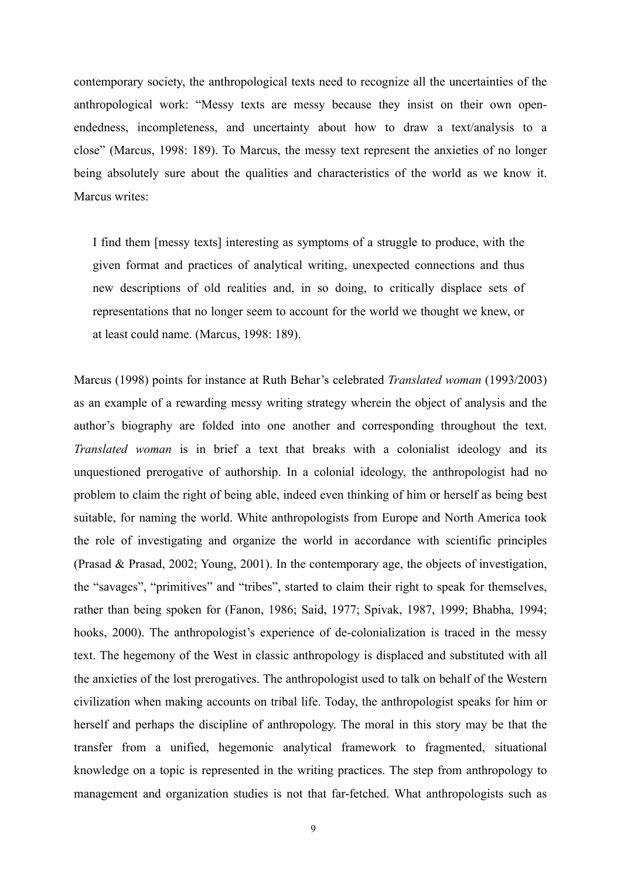contemporary society, the anthropological texts need to recognize all the uncertainties of the anthropological work: "Messy texts are messy because they insist on their own openendedness, incompleteness, and uncertainty about how to draw a text/analysis to a close" (Marcus, 1998: 189). To Marcus, the messy text represent the anxieties of no longer being absolutely sure about the qualities and characteristics of the world as we know it. Marcus writes:

I find them [messy texts] interesting as symptoms of a struggle to produce, with the given format and practices of analytical writing, unexpected connections and thus new descriptions of old realities and, in so doing, to critically displace sets of representations that no longer seem to account for the world we thought we knew, or at least could name. (Marcus, 1998: 189).

Marcus (1998) points for instance at Ruth Behar's celebrated *Translated woman* (1993/2003) as an example of a rewarding messy writing strategy wherein the object of analysis and the author's biography are folded into one another and corresponding throughout the text. *Translated woman* is in brief a text that breaks with a colonialist ideology and its unquestioned prerogative of authorship. In a colonial ideology, the anthropologist had no problem to claim the right of being able, indeed even thinking of him or herself as being best suitable, for naming the world. White anthropologists from Europe and North America took the role of investigating and organize the world in accordance with scientific principles (Prasad & Prasad, 2002; Young, 2001). In the contemporary age, the objects of investigation, the "savages", "primitives" and "tribes", started to claim their right to speak for themselves, rather than being spoken for (Fanon, 1986; Said, 1977; Spivak, 1987, 1999; Bhabha, 1994; hooks, 2000). The anthropologist's experience of de-colonialization is traced in the messy text. The hegemony of the West in classic anthropology is displaced and substituted with all the anxieties of the lost prerogatives. The anthropologist used to talk on behalf of the Western civilization when making accounts on tribal life. Today, the anthropologist speaks for him or herself and perhaps the discipline of anthropology. The moral in this story may be that the transfer from a unified, hegemonic analytical framework to fragmented, situational knowledge on a topic is represented in the writing practices. The step from anthropology to management and organization studies is not that far-fetched. What anthropologists such as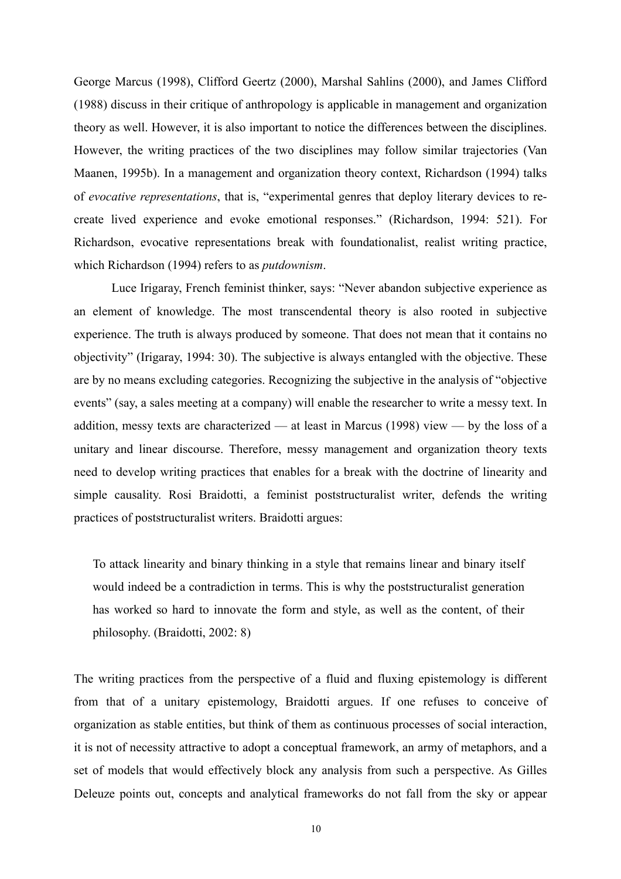George Marcus (1998), Clifford Geertz (2000), Marshal Sahlins (2000), and James Clifford (1988) discuss in their critique of anthropology is applicable in management and organization theory as well. However, it is also important to notice the differences between the disciplines. However, the writing practices of the two disciplines may follow similar trajectories (Van Maanen, 1995b). In a management and organization theory context, Richardson (1994) talks of *evocative representations*, that is, "experimental genres that deploy literary devices to recreate lived experience and evoke emotional responses." (Richardson, 1994: 521). For Richardson, evocative representations break with foundationalist, realist writing practice, which Richardson (1994) refers to as *putdownism*.

Luce Irigaray, French feminist thinker, says: "Never abandon subjective experience as an element of knowledge. The most transcendental theory is also rooted in subjective experience. The truth is always produced by someone. That does not mean that it contains no objectivity" (Irigaray, 1994: 30). The subjective is always entangled with the objective. These are by no means excluding categories. Recognizing the subjective in the analysis of "objective events" (say, a sales meeting at a company) will enable the researcher to write a messy text. In addition, messy texts are characterized — at least in Marcus (1998) view — by the loss of a unitary and linear discourse. Therefore, messy management and organization theory texts need to develop writing practices that enables for a break with the doctrine of linearity and simple causality. Rosi Braidotti, a feminist poststructuralist writer, defends the writing practices of poststructuralist writers. Braidotti argues:

To attack linearity and binary thinking in a style that remains linear and binary itself would indeed be a contradiction in terms. This is why the poststructuralist generation has worked so hard to innovate the form and style, as well as the content, of their philosophy. (Braidotti, 2002: 8)

The writing practices from the perspective of a fluid and fluxing epistemology is different from that of a unitary epistemology, Braidotti argues. If one refuses to conceive of organization as stable entities, but think of them as continuous processes of social interaction, it is not of necessity attractive to adopt a conceptual framework, an army of metaphors, and a set of models that would effectively block any analysis from such a perspective. As Gilles Deleuze points out, concepts and analytical frameworks do not fall from the sky or appear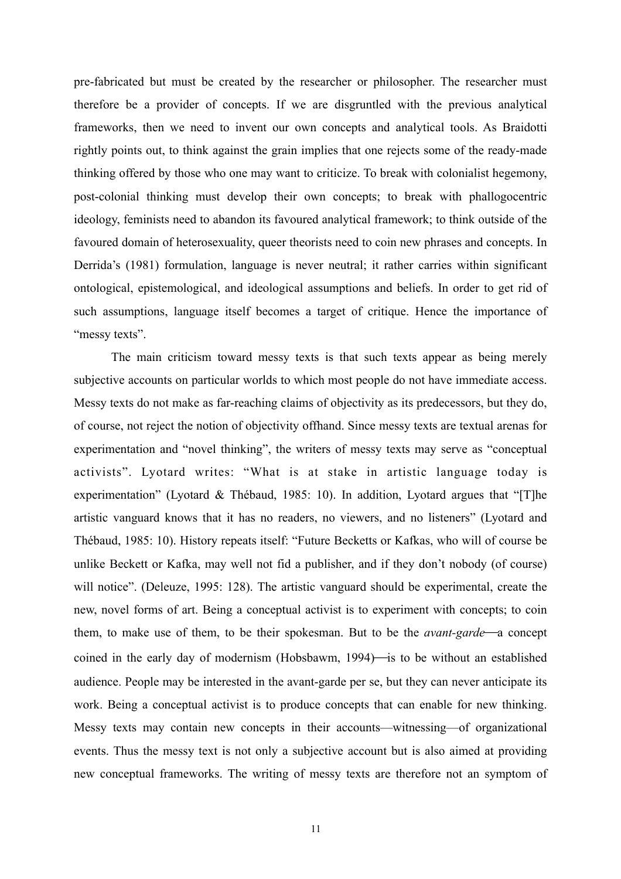pre-fabricated but must be created by the researcher or philosopher. The researcher must therefore be a provider of concepts. If we are disgruntled with the previous analytical frameworks, then we need to invent our own concepts and analytical tools. As Braidotti rightly points out, to think against the grain implies that one rejects some of the ready-made thinking offered by those who one may want to criticize. To break with colonialist hegemony, post-colonial thinking must develop their own concepts; to break with phallogocentric ideology, feminists need to abandon its favoured analytical framework; to think outside of the favoured domain of heterosexuality, queer theorists need to coin new phrases and concepts. In Derrida's (1981) formulation, language is never neutral; it rather carries within significant ontological, epistemological, and ideological assumptions and beliefs. In order to get rid of such assumptions, language itself becomes a target of critique. Hence the importance of "messy texts".

 The main criticism toward messy texts is that such texts appear as being merely subjective accounts on particular worlds to which most people do not have immediate access. Messy texts do not make as far-reaching claims of objectivity as its predecessors, but they do, of course, not reject the notion of objectivity offhand. Since messy texts are textual arenas for experimentation and "novel thinking", the writers of messy texts may serve as "conceptual activists". Lyotard writes: "What is at stake in artistic language today is experimentation" (Lyotard & Thébaud, 1985: 10). In addition, Lyotard argues that "[T]he artistic vanguard knows that it has no readers, no viewers, and no listeners" (Lyotard and Thébaud, 1985: 10). History repeats itself: "Future Becketts or Kafkas, who will of course be unlike Beckett or Kafka, may well not fid a publisher, and if they don't nobody (of course) will notice". (Deleuze, 1995: 128). The artistic vanguard should be experimental, create the new, novel forms of art. Being a conceptual activist is to experiment with concepts; to coin them, to make use of them, to be their spokesman. But to be the *avant-garde*—a concept coined in the early day of modernism (Hobsbawm,  $1994$ ) is to be without an established audience. People may be interested in the avant-garde per se, but they can never anticipate its work. Being a conceptual activist is to produce concepts that can enable for new thinking. Messy texts may contain new concepts in their accounts—witnessing—of organizational events. Thus the messy text is not only a subjective account but is also aimed at providing new conceptual frameworks. The writing of messy texts are therefore not an symptom of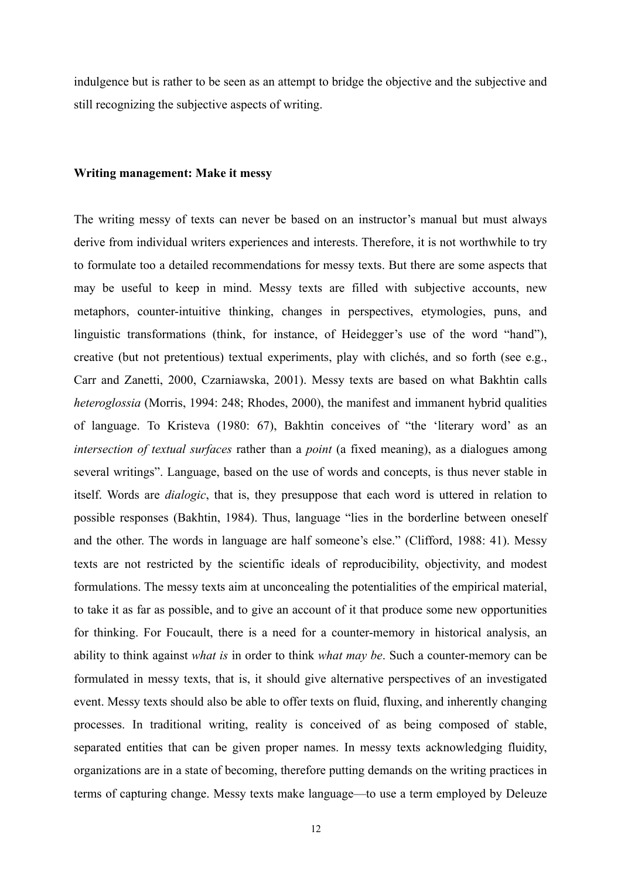indulgence but is rather to be seen as an attempt to bridge the objective and the subjective and still recognizing the subjective aspects of writing.

#### **Writing management: Make it messy**

The writing messy of texts can never be based on an instructor's manual but must always derive from individual writers experiences and interests. Therefore, it is not worthwhile to try to formulate too a detailed recommendations for messy texts. But there are some aspects that may be useful to keep in mind. Messy texts are filled with subjective accounts, new metaphors, counter-intuitive thinking, changes in perspectives, etymologies, puns, and linguistic transformations (think, for instance, of Heidegger's use of the word "hand"), creative (but not pretentious) textual experiments, play with clichés, and so forth (see e.g., Carr and Zanetti, 2000, Czarniawska, 2001). Messy texts are based on what Bakhtin calls *heteroglossia* (Morris, 1994: 248; Rhodes, 2000), the manifest and immanent hybrid qualities of language. To Kristeva (1980: 67), Bakhtin conceives of "the 'literary word' as an *intersection of textual surfaces* rather than a *point* (a fixed meaning), as a dialogues among several writings". Language, based on the use of words and concepts, is thus never stable in itself. Words are *dialogic*, that is, they presuppose that each word is uttered in relation to possible responses (Bakhtin, 1984). Thus, language "lies in the borderline between oneself and the other. The words in language are half someone's else." (Clifford, 1988: 41). Messy texts are not restricted by the scientific ideals of reproducibility, objectivity, and modest formulations. The messy texts aim at unconcealing the potentialities of the empirical material, to take it as far as possible, and to give an account of it that produce some new opportunities for thinking. For Foucault, there is a need for a counter-memory in historical analysis, an ability to think against *what is* in order to think *what may be*. Such a counter-memory can be formulated in messy texts, that is, it should give alternative perspectives of an investigated event. Messy texts should also be able to offer texts on fluid, fluxing, and inherently changing processes. In traditional writing, reality is conceived of as being composed of stable, separated entities that can be given proper names. In messy texts acknowledging fluidity, organizations are in a state of becoming, therefore putting demands on the writing practices in terms of capturing change. Messy texts make language—to use a term employed by Deleuze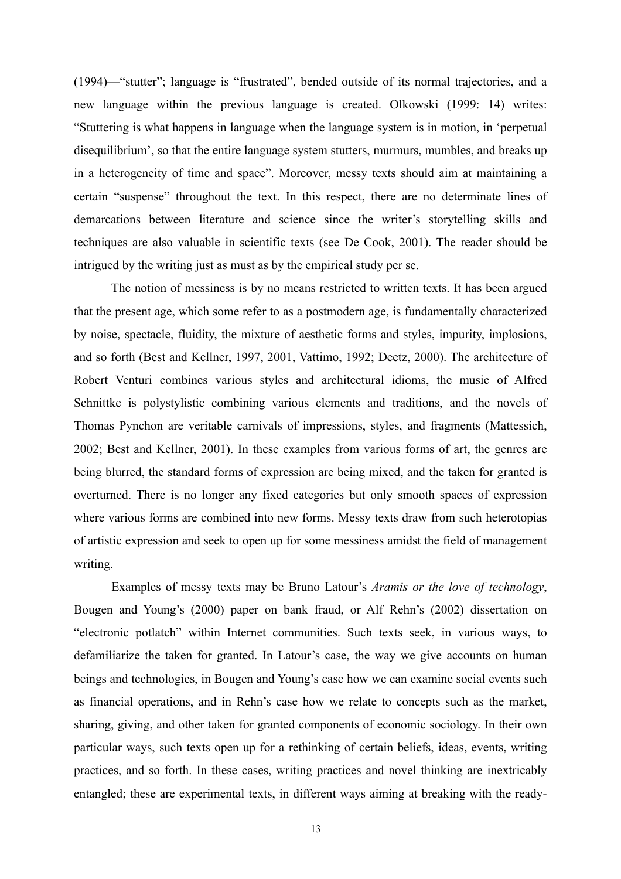(1994)—"stutter"; language is "frustrated", bended outside of its normal trajectories, and a new language within the previous language is created. Olkowski (1999: 14) writes: "Stuttering is what happens in language when the language system is in motion, in 'perpetual disequilibrium', so that the entire language system stutters, murmurs, mumbles, and breaks up in a heterogeneity of time and space". Moreover, messy texts should aim at maintaining a certain "suspense" throughout the text. In this respect, there are no determinate lines of demarcations between literature and science since the writer's storytelling skills and techniques are also valuable in scientific texts (see De Cook, 2001). The reader should be intrigued by the writing just as must as by the empirical study per se.

 The notion of messiness is by no means restricted to written texts. It has been argued that the present age, which some refer to as a postmodern age, is fundamentally characterized by noise, spectacle, fluidity, the mixture of aesthetic forms and styles, impurity, implosions, and so forth (Best and Kellner, 1997, 2001, Vattimo, 1992; Deetz, 2000). The architecture of Robert Venturi combines various styles and architectural idioms, the music of Alfred Schnittke is polystylistic combining various elements and traditions, and the novels of Thomas Pynchon are veritable carnivals of impressions, styles, and fragments (Mattessich, 2002; Best and Kellner, 2001). In these examples from various forms of art, the genres are being blurred, the standard forms of expression are being mixed, and the taken for granted is overturned. There is no longer any fixed categories but only smooth spaces of expression where various forms are combined into new forms. Messy texts draw from such heterotopias of artistic expression and seek to open up for some messiness amidst the field of management writing.

 Examples of messy texts may be Bruno Latour's *Aramis or the love of technology*, Bougen and Young's (2000) paper on bank fraud, or Alf Rehn's (2002) dissertation on "electronic potlatch" within Internet communities. Such texts seek, in various ways, to defamiliarize the taken for granted. In Latour's case, the way we give accounts on human beings and technologies, in Bougen and Young's case how we can examine social events such as financial operations, and in Rehn's case how we relate to concepts such as the market, sharing, giving, and other taken for granted components of economic sociology. In their own particular ways, such texts open up for a rethinking of certain beliefs, ideas, events, writing practices, and so forth. In these cases, writing practices and novel thinking are inextricably entangled; these are experimental texts, in different ways aiming at breaking with the ready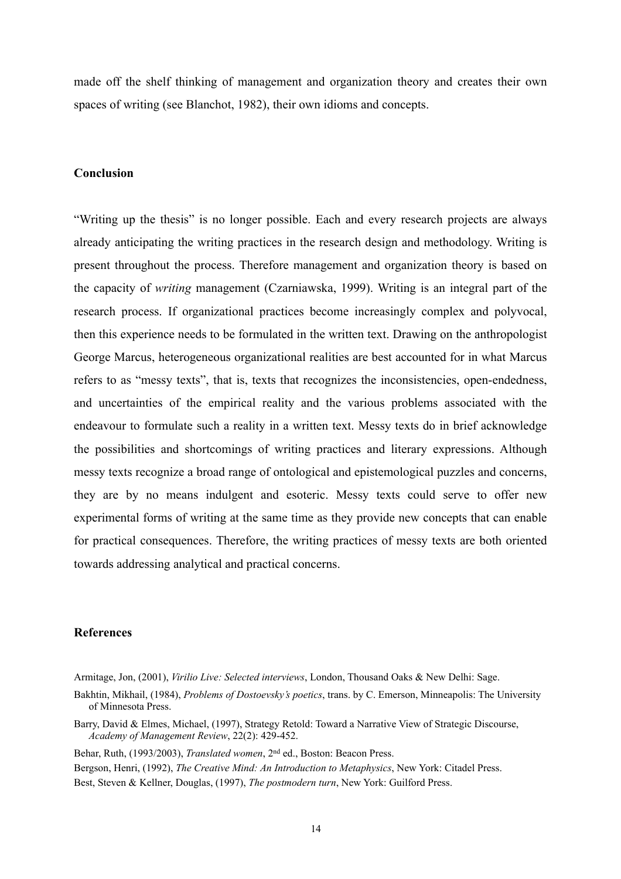made off the shelf thinking of management and organization theory and creates their own spaces of writing (see Blanchot, 1982), their own idioms and concepts.

#### **Conclusion**

"Writing up the thesis" is no longer possible. Each and every research projects are always already anticipating the writing practices in the research design and methodology. Writing is present throughout the process. Therefore management and organization theory is based on the capacity of *writing* management (Czarniawska, 1999). Writing is an integral part of the research process. If organizational practices become increasingly complex and polyvocal, then this experience needs to be formulated in the written text. Drawing on the anthropologist George Marcus, heterogeneous organizational realities are best accounted for in what Marcus refers to as "messy texts", that is, texts that recognizes the inconsistencies, open-endedness, and uncertainties of the empirical reality and the various problems associated with the endeavour to formulate such a reality in a written text. Messy texts do in brief acknowledge the possibilities and shortcomings of writing practices and literary expressions. Although messy texts recognize a broad range of ontological and epistemological puzzles and concerns, they are by no means indulgent and esoteric. Messy texts could serve to offer new experimental forms of writing at the same time as they provide new concepts that can enable for practical consequences. Therefore, the writing practices of messy texts are both oriented towards addressing analytical and practical concerns.

# **References**

Armitage, Jon, (2001), *Virilio Live: Selected interviews*, London, Thousand Oaks & New Delhi: Sage.

Behar, Ruth, (1993/2003), *Translated women*, 2nd ed., Boston: Beacon Press.

Bakhtin, Mikhail, (1984), *Problems of Dostoevsky's poetics*, trans. by C. Emerson, Minneapolis: The University of Minnesota Press.

Barry, David & Elmes, Michael, (1997), Strategy Retold: Toward a Narrative View of Strategic Discourse, *Academy of Management Review*, 22(2): 429-452.

Bergson, Henri, (1992), *The Creative Mind: An Introduction to Metaphysics*, New York: Citadel Press. Best, Steven & Kellner, Douglas, (1997), *The postmodern turn*, New York: Guilford Press.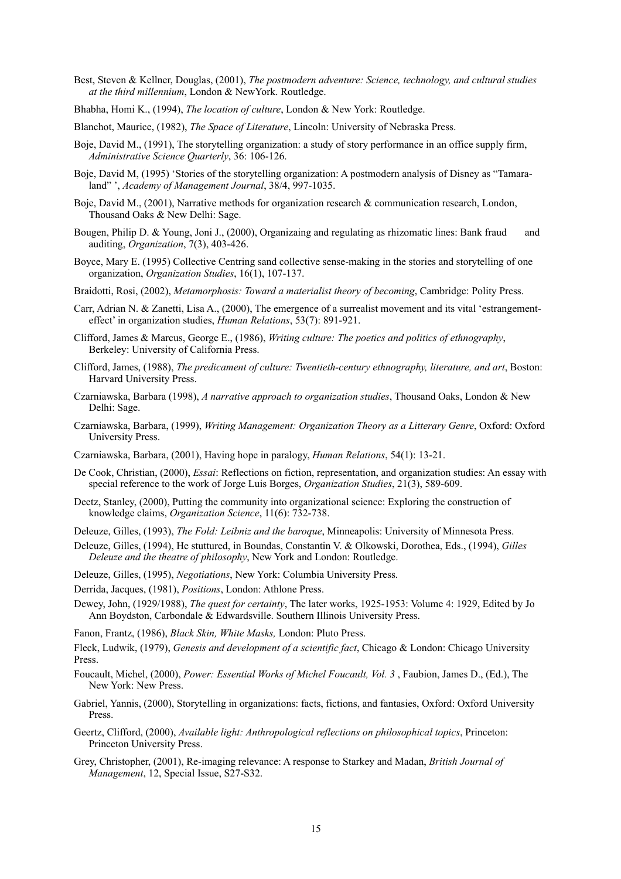- Best, Steven & Kellner, Douglas, (2001), *The postmodern adventure: Science, technology, and cultural studies at the third millennium*, London & NewYork. Routledge.
- Bhabha, Homi K., (1994), *The location of culture*, London & New York: Routledge.

Blanchot, Maurice, (1982), *The Space of Literature*, Lincoln: University of Nebraska Press.

- Boje, David M., (1991), The storytelling organization: a study of story performance in an office supply firm, *Administrative Science Quarterly*, 36: 106-126.
- Boje, David M, (1995) 'Stories of the storytelling organization: A postmodern analysis of Disney as "Tamaraland" ', *Academy of Management Journal*, 38/4, 997-1035.
- Boje, David M., (2001), Narrative methods for organization research & communication research, London, Thousand Oaks & New Delhi: Sage.
- Bougen, Philip D. & Young, Joni J., (2000), Organizaing and regulating as rhizomatic lines: Bank fraud and auditing, *Organization*, 7(3), 403-426.
- Boyce, Mary E. (1995) Collective Centring sand collective sense-making in the stories and storytelling of one organization, *Organization Studies*, 16(1), 107-137.
- Braidotti, Rosi, (2002), *Metamorphosis: Toward a materialist theory of becoming*, Cambridge: Polity Press.
- Carr, Adrian N. & Zanetti, Lisa A., (2000), The emergence of a surrealist movement and its vital 'estrangementeffect' in organization studies, *Human Relations*, 53(7): 891-921.
- Clifford, James & Marcus, George E., (1986), *Writing culture: The poetics and politics of ethnography*, Berkeley: University of California Press.
- Clifford, James, (1988), *The predicament of culture: Twentieth-century ethnography, literature, and art*, Boston: Harvard University Press.
- Czarniawska, Barbara (1998), *A narrative approach to organization studies*, Thousand Oaks, London & New Delhi: Sage.
- Czarniawska, Barbara, (1999), *Writing Management: Organization Theory as a Litterary Genre*, Oxford: Oxford University Press.
- Czarniawska, Barbara, (2001), Having hope in paralogy, *Human Relations*, 54(1): 13-21.
- De Cook, Christian, (2000), *Essai*: Reflections on fiction, representation, and organization studies: An essay with special reference to the work of Jorge Luis Borges, *Organization Studies*, 21(3), 589-609.
- Deetz, Stanley, (2000), Putting the community into organizational science: Exploring the construction of knowledge claims, *Organization Science*, 11(6): 732-738.
- Deleuze, Gilles, (1993), *The Fold: Leibniz and the baroque*, Minneapolis: University of Minnesota Press.
- Deleuze, Gilles, (1994), He stuttured, in Boundas, Constantin V. & Olkowski, Dorothea, Eds., (1994), *Gilles Deleuze and the theatre of philosophy*, New York and London: Routledge.
- Deleuze, Gilles, (1995), *Negotiations*, New York: Columbia University Press.
- Derrida, Jacques, (1981), *Positions*, London: Athlone Press.
- Dewey, John, (1929/1988), *The quest for certainty*, The later works, 1925-1953: Volume 4: 1929, Edited by Jo Ann Boydston, Carbondale & Edwardsville. Southern Illinois University Press.
- Fanon, Frantz, (1986), *Black Skin, White Masks,* London: Pluto Press.
- Fleck, Ludwik, (1979), *Genesis and development of a scientific fact*, Chicago & London: Chicago University Press.
- Foucault, Michel, (2000), *Power: Essential Works of Michel Foucault, Vol. 3* , Faubion, James D., (Ed.), The New York: New Press.
- Gabriel, Yannis, (2000), Storytelling in organizations: facts, fictions, and fantasies, Oxford: Oxford University Press.
- Geertz, Clifford, (2000), *Available light: Anthropological reflections on philosophical topics*, Princeton: Princeton University Press.
- Grey, Christopher, (2001), Re-imaging relevance: A response to Starkey and Madan, *British Journal of Management*, 12, Special Issue, S27-S32.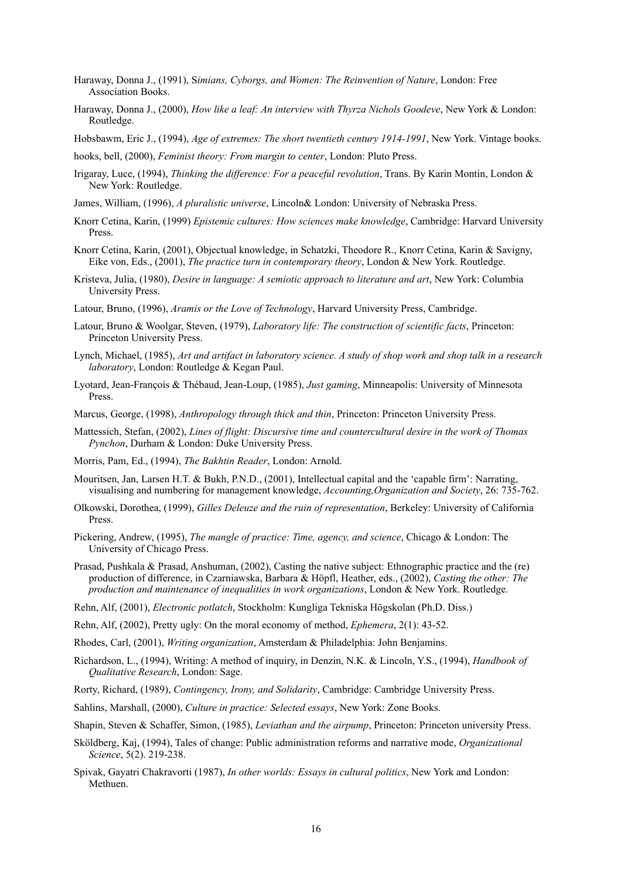- Haraway, Donna J., (1991), S*imians, Cyborgs, and Women: The Reinvention of Nature*, London: Free Association Books.
- Haraway, Donna J., (2000), *How like a leaf: An interview with Thyrza Nichols Goodeve*, New York & London: Routledge.
- Hobsbawm, Eric J., (1994), *Age of extremes: The short twentieth century 1914-1991*, New York. Vintage books.

hooks, bell, (2000), *Feminist theory: From margin to center*, London: Pluto Press.

- Irigaray, Luce, (1994), *Thinking the difference: For a peaceful revolution*, Trans. By Karin Montin, London & New York: Routledge.
- James, William, (1996), *A pluralistic universe*, Lincoln& London: University of Nebraska Press.
- Knorr Cetina, Karin, (1999) *Epistemic cultures: How sciences make knowledge*, Cambridge: Harvard University Press.
- Knorr Cetina, Karin, (2001), Objectual knowledge, in Schatzki, Theodore R., Knorr Cetina, Karin & Savigny, Eike von, Eds., (2001), *The practice turn in contemporary theory*, London & New York. Routledge.
- Kristeva, Julia, (1980), *Desire in language: A semiotic approach to literature and art*, New York: Columbia University Press.
- Latour, Bruno, (1996), *Aramis or the Love of Technology*, Harvard University Press, Cambridge.
- Latour, Bruno & Woolgar, Steven, (1979), *Laboratory life: The construction of scientific facts*, Princeton: Princeton University Press.
- Lynch, Michael, (1985), *Art and artifact in laboratory science. A study of shop work and shop talk in a research laboratory*, London: Routledge & Kegan Paul.
- Lyotard, Jean-François & Thébaud, Jean-Loup, (1985), *Just gaming*, Minneapolis: University of Minnesota Press.
- Marcus, George, (1998), *Anthropology through thick and thin*, Princeton: Princeton University Press.
- Mattessich, Stefan, (2002), *Lines of flight: Discursive time and countercultural desire in the work of Thomas Pynchon*, Durham & London: Duke University Press.
- Morris, Pam, Ed., (1994), *The Bakhtin Reader*, London: Arnold.
- Mouritsen, Jan, Larsen H.T. & Bukh, P.N.D., (2001), Intellectual capital and the 'capable firm': Narrating, visualising and numbering for management knowledge, *Accounting,Organization and Society*, 26: 735-762.
- Olkowski, Dorothea, (1999), *Gilles Deleuze and the ruin of representation*, Berkeley: University of California Press.
- Pickering, Andrew, (1995), *The mangle of practice: Time, agency, and science*, Chicago & London: The University of Chicago Press.
- Prasad, Pushkala & Prasad, Anshuman, (2002), Casting the native subject: Ethnographic practice and the (re) production of difference, in Czarniawska, Barbara & Höpfl, Heather, eds., (2002), *Casting the other: The production and maintenance of inequalities in work organizations*, London & New York. Routledge.
- Rehn, Alf, (2001), *Electronic potlatch*, Stockholm: Kungliga Tekniska Högskolan (Ph.D. Diss.)
- Rehn, Alf, (2002), Pretty ugly: On the moral economy of method, *Ephemera*, 2(1): 43-52.
- Rhodes, Carl, (2001), *Writing organization*, Amsterdam & Philadelphia: John Benjamins.
- Richardson, L., (1994), Writing: A method of inquiry, in Denzin, N.K. & Lincoln, Y.S., (1994), *Handbook of Qualitative Research*, London: Sage.
- Rorty, Richard, (1989), *Contingency, Irony, and Solidarity*, Cambridge: Cambridge University Press.
- Sahlins, Marshall, (2000), *Culture in practice: Selected essays*, New York: Zone Books.
- Shapin, Steven & Schaffer, Simon, (1985), *Leviathan and the airpump*, Princeton: Princeton university Press.
- Sköldberg, Kaj, (1994), Tales of change: Public administration reforms and narrative mode, *Organizational Science*, 5(2). 219-238.
- Spivak, Gayatri Chakravorti (1987), *In other worlds: Essays in cultural politics*, New York and London: Methuen.